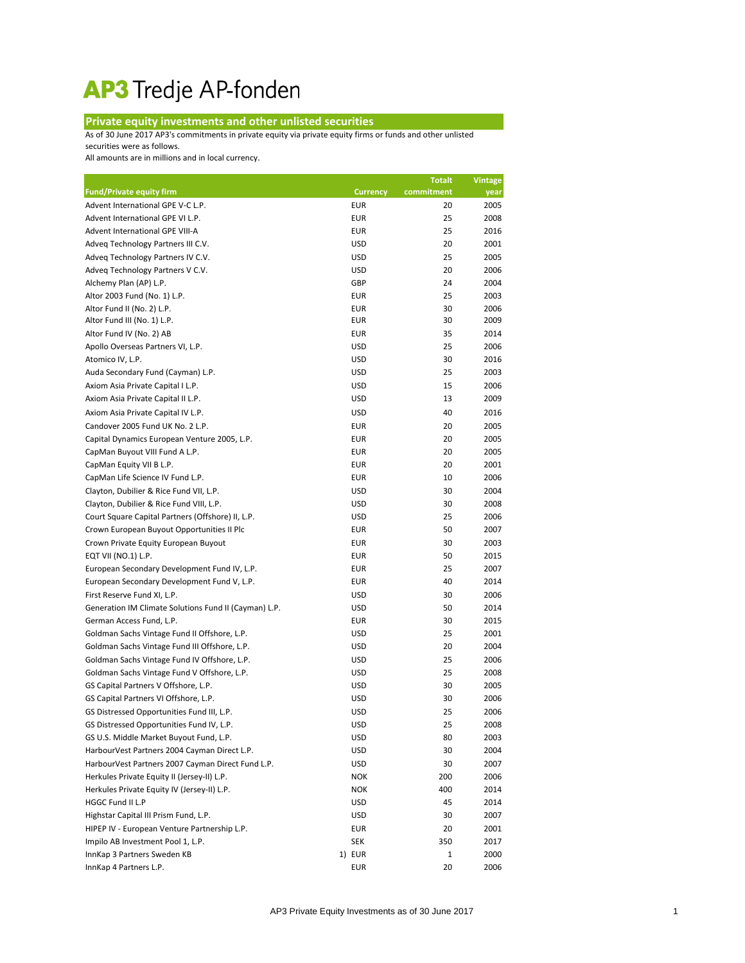## AP3 Tredje AP-fonden

## **Private equity investments and other unlisted securities**

As of 30 June 2017 AP3's commitments in private equity via private equity firms or funds and other unlisted securities were as follows.

All amounts are in millions and in local currency.

|                                                       |                 | <b>Totalt</b> | Vintage |
|-------------------------------------------------------|-----------------|---------------|---------|
| <b>Fund/Private equity firm</b>                       | <b>Currency</b> | commitment    | year    |
| Advent International GPE V-C L.P.                     | <b>EUR</b>      | 20            | 2005    |
| Advent International GPE VI L.P.                      | <b>EUR</b>      | 25            | 2008    |
| Advent International GPE VIII-A                       | <b>EUR</b>      | 25            | 2016    |
| Adveq Technology Partners III C.V.                    | <b>USD</b>      | 20            | 2001    |
| Adveq Technology Partners IV C.V.                     | <b>USD</b>      | 25            | 2005    |
| Adveq Technology Partners V C.V.                      | <b>USD</b>      | 20            | 2006    |
| Alchemy Plan (AP) L.P.                                | GBP             | 24            | 2004    |
| Altor 2003 Fund (No. 1) L.P.                          | <b>EUR</b>      | 25            | 2003    |
| Altor Fund II (No. 2) L.P.                            | <b>EUR</b>      | 30            | 2006    |
| Altor Fund III (No. 1) L.P.                           | <b>EUR</b>      | 30            | 2009    |
| Altor Fund IV (No. 2) AB                              | <b>EUR</b>      | 35            | 2014    |
| Apollo Overseas Partners VI, L.P.                     | <b>USD</b>      | 25            | 2006    |
| Atomico IV, L.P.                                      | <b>USD</b>      | 30            | 2016    |
| Auda Secondary Fund (Cayman) L.P.                     | <b>USD</b>      | 25            | 2003    |
| Axiom Asia Private Capital I L.P.                     | <b>USD</b>      | 15            | 2006    |
| Axiom Asia Private Capital II L.P.                    | <b>USD</b>      | 13            | 2009    |
| Axiom Asia Private Capital IV L.P.                    | <b>USD</b>      | 40            | 2016    |
| Candover 2005 Fund UK No. 2 L.P.                      | <b>EUR</b>      | 20            | 2005    |
| Capital Dynamics European Venture 2005, L.P.          | <b>EUR</b>      | 20            | 2005    |
| CapMan Buyout VIII Fund A L.P.                        | <b>EUR</b>      | 20            | 2005    |
| CapMan Equity VII B L.P.                              | <b>EUR</b>      | 20            | 2001    |
| CapMan Life Science IV Fund L.P.                      | <b>EUR</b>      | 10            | 2006    |
| Clayton, Dubilier & Rice Fund VII, L.P.               | <b>USD</b>      | 30            | 2004    |
| Clayton, Dubilier & Rice Fund VIII, L.P.              | <b>USD</b>      | 30            | 2008    |
| Court Square Capital Partners (Offshore) II, L.P.     | <b>USD</b>      | 25            | 2006    |
| Crown European Buyout Opportunities II Plc            | <b>EUR</b>      | 50            | 2007    |
| Crown Private Equity European Buyout                  | <b>EUR</b>      | 30            | 2003    |
| EQT VII (NO.1) L.P.                                   | <b>EUR</b>      | 50            | 2015    |
| European Secondary Development Fund IV, L.P.          | <b>EUR</b>      | 25            | 2007    |
| European Secondary Development Fund V, L.P.           | <b>EUR</b>      | 40            | 2014    |
| First Reserve Fund XI, L.P.                           | <b>USD</b>      | 30            | 2006    |
| Generation IM Climate Solutions Fund II (Cayman) L.P. | <b>USD</b>      | 50            | 2014    |
| German Access Fund, L.P.                              | <b>EUR</b>      | 30            | 2015    |
| Goldman Sachs Vintage Fund II Offshore, L.P.          | <b>USD</b>      | 25            | 2001    |
| Goldman Sachs Vintage Fund III Offshore, L.P.         | <b>USD</b>      | 20            | 2004    |
| Goldman Sachs Vintage Fund IV Offshore, L.P.          | <b>USD</b>      | 25            | 2006    |
| Goldman Sachs Vintage Fund V Offshore, L.P.           | <b>USD</b>      | 25            | 2008    |
| GS Capital Partners V Offshore, L.P.                  | <b>USD</b>      | 30            | 2005    |
| GS Capital Partners VI Offshore, L.P.                 | <b>USD</b>      | 30            | 2006    |
| GS Distressed Opportunities Fund III, L.P.            | <b>USD</b>      | 25            | 2006    |
| GS Distressed Opportunities Fund IV, L.P.             | <b>USD</b>      | 25            | 2008    |
| GS U.S. Middle Market Buyout Fund, L.P.               | <b>USD</b>      | 80            | 2003    |
| HarbourVest Partners 2004 Cayman Direct L.P.          | <b>USD</b>      | 30            | 2004    |
| HarbourVest Partners 2007 Cayman Direct Fund L.P.     | <b>USD</b>      | 30            | 2007    |
| Herkules Private Equity II (Jersey-II) L.P.           | <b>NOK</b>      | 200           | 2006    |
| Herkules Private Equity IV (Jersey-II) L.P.           | <b>NOK</b>      | 400           | 2014    |
| HGGC Fund II L.P                                      | <b>USD</b>      | 45            | 2014    |
| Highstar Capital III Prism Fund, L.P.                 | <b>USD</b>      | 30            | 2007    |
| HIPEP IV - European Venture Partnership L.P.          | <b>EUR</b>      | 20            | 2001    |
| Impilo AB Investment Pool 1, L.P.                     | <b>SEK</b>      | 350           | 2017    |
| InnKap 3 Partners Sweden KB                           | 1) EUR          | 1             | 2000    |
| InnKap 4 Partners L.P.                                | <b>EUR</b>      | 20            | 2006    |